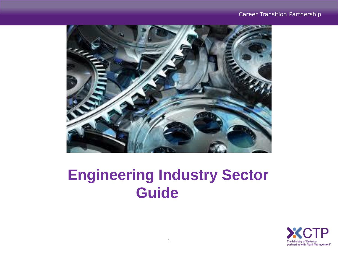#### Career Transition Partnership



# **Engineering Industry Sector Guide**

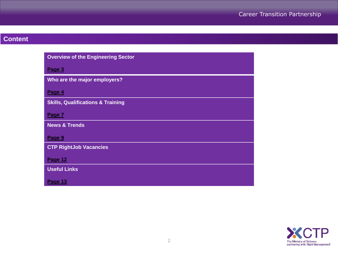# **Content**

| <b>Overview of the Engineering Sector</b>    |
|----------------------------------------------|
| Page 3                                       |
| Who are the major employers?                 |
| Page 4                                       |
| <b>Skills, Qualifications &amp; Training</b> |
| Page 7                                       |
| <b>News &amp; Trends</b>                     |
| Page 9                                       |
| <b>CTP RightJob Vacancies</b>                |
| Page 12                                      |
| <b>Useful Links</b>                          |
| Page 13                                      |

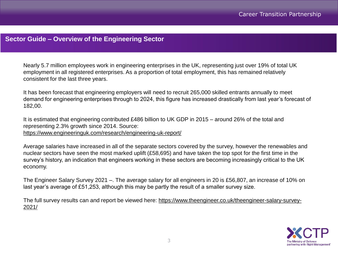## <span id="page-2-0"></span>**Sector Guide – Overview of the Engineering Sector**

Nearly 5.7 million employees work in engineering enterprises in the UK, representing just over 19% of total UK employment in all registered enterprises. As a proportion of total employment, this has remained relatively consistent for the last three years.

It has been forecast that engineering employers will need to recruit 265,000 skilled entrants annually to meet demand for engineering enterprises through to 2024, this figure has increased drastically from last year's forecast of 182,00.

It is estimated that engineering contributed £486 billion to UK GDP in 2015 – around 26% of the total and representing 2.3% growth since 2014. Source: <https://www.engineeringuk.com/research/engineering-uk-report/>

Average salaries have increased in all of the separate sectors covered by the survey, however the renewables and nuclear sectors have seen the most marked uplift (£58,695) and have taken the top spot for the first time in the survey's history, an indication that engineers working in these sectors are becoming increasingly critical to the UK economy.

The Engineer Salary Survey 2021 –. The average salary for all engineers in 20 is £56,807, an increase of 10% on last year's average of £51,253, although this may be partly the result of a smaller survey size.

[The full survey results can and report be viewed here: https://www.theengineer.co.uk/theengineer-salary-survey-](https://www.theengineer.co.uk/theengineer-salary-survey-2021/)2021/

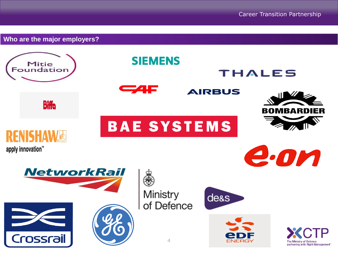The Ministry of Defence partnering with Right Management'

**SIEMENS** Mitie Foundation THALES  $\blacksquare$ **AIRBUS Biffo BOMBARDIER BAE SYSTEMS** RFNISHAI apply innovation™ e.on **NetworkRail** Ministry de<sub>&s</sub> of Defence Crossrail  $\Delta$ NFRGY

<span id="page-3-0"></span>**Who are the major employers?**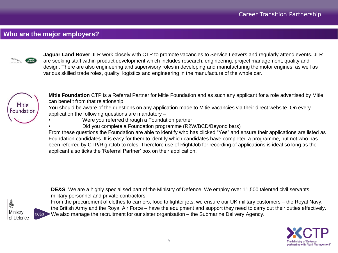## **Who are the major employers?**



**Jaguar Land Rover** JLR work closely with CTP to promote vacancies to Service Leavers and regularly attend events. JLR are seeking staff within product development which includes research, engineering, project management, quality and design. There are also engineering and supervisory roles in developing and manufacturing the motor engines, as well as various skilled trade roles, quality, logistics and engineering in the manufacture of the whole car.



**Mitie Foundation** CTP is a Referral Partner for Mitie Foundation and as such any applicant for a role advertised by Mitie can benefit from that relationship.

You should be aware of the questions on any application made to Mitie vacancies via their direct website. On every application the following questions are mandatory –

- Were you referred through a Foundation partner
	- Did you complete a Foundation programme (R2W/BCD/Beyond bars)

From these questions the Foundation are able to identify who has clicked "Yes" and ensure their applications are listed as Foundation candidates. It is easy for them to identify which candidates have completed a programme, but not who has been referred by CTP/RightJob to roles. Therefore use of RightJob for recording of applications is ideal so long as the applicant also ticks the 'Referral Partner' box on their application.



**DE&S** We are a highly specialised part of the Ministry of Defence. We employ over 11,500 talented civil servants, military personnel and private contractors From the procurement of clothes to carriers, food to fighter jets, we ensure our UK military customers – the Royal Navy, the British Army and the Royal Air Force – have the equipment and support they need to carry out their duties effectively.

We also manage the recruitment for our sister organisation – the Submarine Delivery Agency.

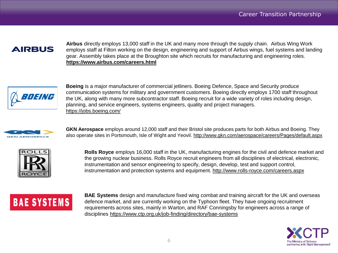## **AIRBUS**

**Airbus** directly employs 13,000 staff in the UK and many more through the supply chain. Airbus Wing Work employs staff at Filton working on the design, engineering and support of Airbus wings, fuel systems and landing gear. Assembly takes place at the Broughton site which recruits for manufacturing and engineering roles. **<https://www.airbus.com/careers.html>**



**Boeing** is a major manufacturer of commercial jetliners. Boeing Defence, Space and Security produce communication systems for military and government customers. Boeing directly employs 1700 staff throughout the UK, along with many more subcontractor staff. Boeing recruit for a wide variety of roles including design, planning, and service engineers, systems engineers, quality and project managers. <https://jobs.boeing.com/>



**GKN Aerospace** employs around 12,000 staff and their Bristol site produces parts for both Airbus and Boeing. They also operate sites in Portsmouth, Isle of Wight and Yeovil.<http://www.gkn.com/aerospace/careers/Pages/default.aspx>



**Rolls Royce** employs 16,000 staff in the UK, manufacturing engines for the civil and defence market and the growing nuclear business. Rolls Royce recruit engineers from all disciplines of electrical, electronic, instrumentation and sensor engineering to specify, design, develop, test and support control, instrumentation and protection systems and equipment.<http://www.rolls-royce.com/careers.aspx>

# **BAE SYSTEMS**

**BAE Systems** design and manufacture fixed wing combat and training aircraft for the UK and overseas defence market, and are currently working on the Typhoon fleet. They have ongoing recruitment requirements across sites, mainly in Warton, and RAF Conningsby for engineers across a range of disciplines <https://www.ctp.org.uk/job-finding/directory/bae-systems>

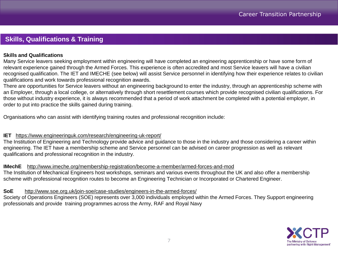## <span id="page-6-0"></span>**Skills, Qualifications & Training**

#### **Skills and Qualifications**

Many Service leavers seeking employment within engineering will have completed an engineering apprenticeship or have some form of relevant experience gained through the Armed Forces. This experience is often accredited and most Service leavers will have a civilian recognised qualification. The IET and IMECHE (see below) will assist Service personnel in identifying how their experience relates to civilian qualifications and work towards professional recognition awards.

There are opportunities for Service leavers without an engineering background to enter the industry, through an apprenticeship scheme with an Employer, through a local college, or alternatively through short resettlement courses which provide recognised civilian qualifications. For those without industry experience, it is always recommended that a period of work attachment be completed with a potential employer, in order to put into practice the skills gained during training.

Organisations who can assist with identifying training routes and professional recognition include:

#### **IET** <https://www.engineeringuk.com/research/engineering-uk-report/>

The Institution of Engineering and Technology provide advice and guidance to those in the industry and those considering a career within engineering. The IET have a membership scheme and Service personnel can be advised on career progression as well as relevant qualifications and professional recognition in the industry.

**IMechE** <http://www.imeche.org/membership-registration/become-a-member/armed-forces-and-mod>

The Institution of Mechanical Engineers host workshops, seminars and various events throughout the UK and also offer a membership scheme with professional recognition routes to become an Engineering Technician or Incorporated or Chartered Engineer.

#### **SoE** <http://www.soe.org.uk/join-soe/case-studies/engineers-in-the-armed-forces/>

Society of Operations Engineers (SOE) represents over 3,000 individuals employed within the Armed Forces. They Support engineering professionals and provide training programmes across the Army, RAF and Royal Navy

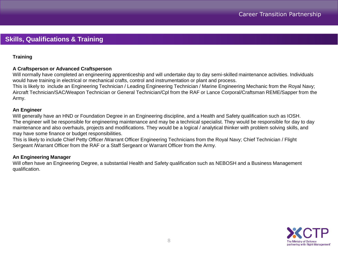## **Skills, Qualifications & Training**

#### **Training**

#### **A Craftsperson or Advanced Craftsperson**

Will normally have completed an engineering apprenticeship and will undertake day to day semi-skilled maintenance activities. Individuals would have training in electrical or mechanical crafts, control and instrumentation or plant and process.

This is likely to include an Engineering Technician / Leading Engineering Technician / Marine Engineering Mechanic from the Royal Navy; Aircraft Technician/SAC/Weapon Technician or General Technician/Cpl from the RAF or Lance Corporal/Craftsman REME/Sapper from the Army.

#### **An Engineer**

Will generally have an HND or Foundation Degree in an Engineering discipline, and a Health and Safety qualification such as IOSH. The engineer will be responsible for engineering maintenance and may be a technical specialist. They would be responsible for day to day maintenance and also overhauls, projects and modifications. They would be a logical / analytical thinker with problem solving skills, and may have some finance or budget responsibilities.

This is likely to include Chief Petty Officer /Warrant Officer Engineering Technicians from the Royal Navy; Chief Technician / Flight Sergeant /Warrant Officer from the RAF or a Staff Sergeant or Warrant Officer from the Army.

#### **An Engineering Manager**

Will often have an Engineering Degree, a substantial Health and Safety qualification such as NEBOSH and a Business Management qualification.

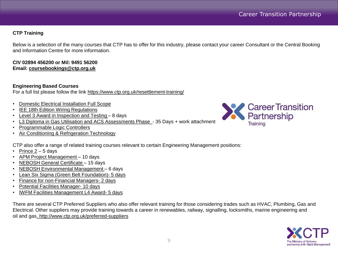#### **CTP Training**

Below is a selection of the many courses that CTP has to offer for this industry, please contact your career Consultant or the Central Booking and Information Centre for more information.

#### **CIV 02894 456200 or Mil: 9491 56200 Email: [coursebookings@ctp.org.uk](mailto:coursebookings@ctp.org.uk)**

#### **Engineering Based Courses**

For a full list please follow the link <https://www.ctp.org.uk/resettlement-training/>

- [Domestic Electrical Installation Full Scope](https://www.ctp.org.uk/resettlement-training/find-a-course/details/domestic-electrical-installation-full-scope?backto=search)
- **[IEE 18th Edition Wiring Regulations](https://www.ctp.org.uk/resettlement-training/find-a-course/details/18th-edition-wiring-regulations?backto=search)**
- [Level 3 Award in Inspection and Testing](https://www.ctp.org.uk/resettlement-training/find-a-course/details/2391-52-level-3-award-in-inspection-and-testing?backto=search)  8 days
- [L3 Diploma in Gas Utilisation and ACS Assessments Phase -](https://www.ctp.org.uk/resettlement-training/find-a-course/details/l3-diploma-in-gas-utilisation-and-acs-assessments-phase-1?backto=search) 35 Days + work attachment
- [Programmable Logic Controllers](https://www.ctp.org.uk/resettlement-training/find-a-course/details/level-3-award-in-programmable-logic-controllers?backto=search)
- [Air Conditioning & Refrigeration Technology](https://www.ctp.org.uk/resettlement-training/find-a-course/details/air-conditioning-and-refrigeration-technology?backto=search)

CTP also offer a range of related training courses relevant to certain Engineering Management positions:

- Prince  $2 5$  days
- [APM Project Management](https://www.ctp.org.uk/resettlement-training/find-a-course/details/apm-project-management-pmq?backto=search)  10 days
- [NEBOSH General Certificate –](https://www.ctp.org.uk/resettlement-training/find-a-course/details/nebosh-general-certificate?backto=search) 15 days
- [NEBOSH Environmental Management –](https://www.ctp.org.uk/resettlement-training/find-a-course/details/nebosh-certificate-in-environmental-management?backto=search) 6 days
- [Lean Six Sigma \(Green Belt Foundation\)-](https://www.ctp.org.uk/resettlement-training/find-a-course/details/level-5-certificate-in-service-improvement-(lean-six-sigma)) 5 days
- [Finance for non-Financial Managers-](https://www.ctp.org.uk/resettlement-training/find-a-course/details/strategic-finance-for-non-financial-managers) 2 days
- [Potential Facilities Manager-](https://www.ctp.org.uk/resettlement-training/find-a-course/details/potential-facilities-manager) 10 days
- [IWFM Facilities Management L4 Award-](https://www.ctp.org.uk/resettlement-training/find-a-course/details/facilities-management-level-4-award-(iwfm)) 5 days

There are several CTP Preferred Suppliers who also offer relevant training for those considering trades such as HVAC, Plumbing, Gas and Electrical. Other suppliers may provide training towards a career in renewables, railway, signalling, locksmiths, marine engineering and oil and gas[.](https://www.ctp.org.uk/preferred-suppliers) <http://www.ctp.org.uk/preferred-suppliers>



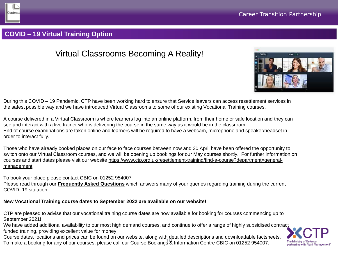

## **COVID – 19 Virtual Training Option**

# Virtual Classrooms Becoming A Reality!



During this COVID – 19 Pandemic, CTP have been working hard to ensure that Service leavers can access resettlement services in the safest possible way and we have introduced Virtual Classrooms to some of our existing Vocational Training courses.

A course delivered in a Virtual Classroom is where learners log into an online platform, from their home or safe location and they can see and interact with a live trainer who is delivering the course in the same way as it would be in the classroom. End of course examinations are taken online and learners will be required to have a webcam, microphone and speaker/headset in order to interact fully.

Those who have already booked places on our face to face courses between now and 30 April have been offered the opportunity to switch onto our Virtual Classroom courses, and we will be opening up bookings for our May courses shortly. For further information on [courses and start dates please visit our website https://www.ctp.org.uk/resettlement-training/find-a-course?department=general](https://www.ctp.org.uk/resettlement-training/find-a-course?department=general-management)management

To book your place please contact CBIC on 01252 954007 Please read through our **[Frequently Asked Questions](https://www.ctp.org.uk/covid19-FAQs)** which answers many of your queries regarding training during the current COVID -19 situation

#### **New Vocational Training course dates to September 2022 are available on our website!**

CTP are pleased to advise that our vocational training course dates are now available for booking for courses commencing up to September 2021!

We have added additional availability to our most high demand courses, and continue to offer a range of highly subsidised contract funded training, providing excellent value for money.

10 To make a booking for any of our courses, please call our Course Bookings & Information Centre CBIC on 01252 954007.Course dates, locations and prices can be found on our website, along with detailed descriptions and downloadable factsheets.

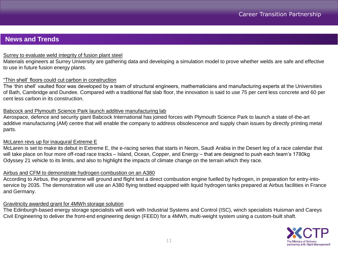### <span id="page-10-0"></span>**News and Trends**

#### [Surrey to evaluate weld integrity of fusion plant steel](https://www.theengineer.co.uk/surrey-study-set-to-evaluate-weld-integrity-of-fusion-plant-steel/)

Materials engineers at Surrey University are gathering data and developing a simulation model to prove whether welds are safe and effective to use in future fusion energy plants.

#### ["Thin shell' floors could cut carbon in construction](https://www.theengineer.co.uk/thin-shell-floors-could-cut-carbon-in-construction/)

The 'thin shell' vaulted floor was developed by a team of structural engineers, mathematicians and manufacturing experts at the Universities of Bath, Cambridge and Dundee. Compared with a traditional flat slab floor, the innovation is said to use 75 per cent less concrete and 60 per cent less carbon in its construction.

#### [Babcock and Plymouth Science Park launch additive manufacturing lab](https://www.theengineer.co.uk/babcock-and-plymouth-science-park-launch-additive-manufacturing-lab/)

Aerospace, defence and security giant Babcock International has joined forces with Plymouth Science Park to launch a state of-the-art additive manufacturing (AM) centre that will enable the company to address obsolescence and supply chain issues by directly printing metal parts.

#### [McLaren revs up for inaugural Extreme E](https://www.theengineer.co.uk/mclaren-inaugural-extreme-e-gade/)

McLaren is set to make its debut in Extreme E, the e-racing series that starts in Neom, Saudi Arabia in the Desert leg of a race calendar that will take place on four more off-road race tracks – Island, Ocean, Copper, and Energy – that are designed to push each team's 1780kg Odyssey 21 vehicle to its limits, and also to highlight the impacts of climate change on the terrain which they race.

#### [Airbus and CFM to demonstrate hydrogen combustion on an A380](https://www.theengineer.co.uk/airbus-and-cfm-to-demonstrate-hydrogen-combustion-on-an-a380/)

According to Airbus, the programme will ground and flight test a direct combustion engine fuelled by hydrogen, in preparation for entry-intoservice by 2035. The demonstration will use an A380 flying testbed equipped with liquid hydrogen tanks prepared at Airbus facilities in France and Germany.

#### [Gravitricity awarded grant for 4MWh storage solution](https://www.theengineer.co.uk/gravitricity-grant-4mwh-energy-storage-beis/)

The Edinburgh-based energy storage specialists will work with Industrial Systems and Control (ISC), winch specialists Huisman and Careys Civil Engineering to deliver the front-end engineering design (FEED) for a 4MWh, multi-weight system using a custom-built shaft.

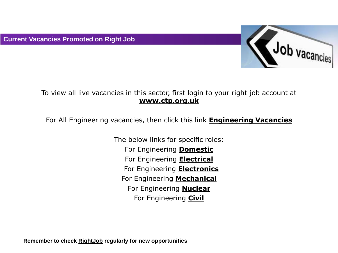

## To view all live vacancies in this sector, first login to your right job account at **[www.ctp.org.uk](http://www.ctp.org.uk/)**

For All Engineering vacancies, then click this link **[Engineering Vacancies](https://rightjob.ctp.org.uk/jobsearch/JobsHome/BrowseByIndustry?name=Engineering)**

The below links for specific roles: For Engineering **[Domestic](https://rightjob.ctp.org.uk/jobsearch/JobsHome/BrowseByIndustry?name=Engineering%20-%20Domestic)** For Engineering **[Electrical](https://rightjob.ctp.org.uk/jobsearch/JobsHome/BrowseByIndustry?name=Engineering%20-%20Electrical)** For Engineering **[Electronics](https://rightjob.ctp.org.uk/jobsearch/JobsHome/BrowseByIndustry?name=Engineering%20-%20Electronics)** For Engineering **[Mechanical](https://rightjob.ctp.org.uk/jobsearch/JobsHome/BrowseByIndustry?name=Engineering%20-%20Mechanical)** For Engineering **[Nuclear](https://rightjob.ctp.org.uk/jobsearch/JobsHome/BrowseByIndustry?name=Engineering%20-%20Mechanical)** For Engineering **[Civil](https://rightjob.ctp.org.uk/jobsearch/JobsHome/BrowseByIndustry?name=Engineering%20-%20Civil)**

**Remember to check [RightJob](https://www.ctp.org.uk/) regularly for new opportunities**